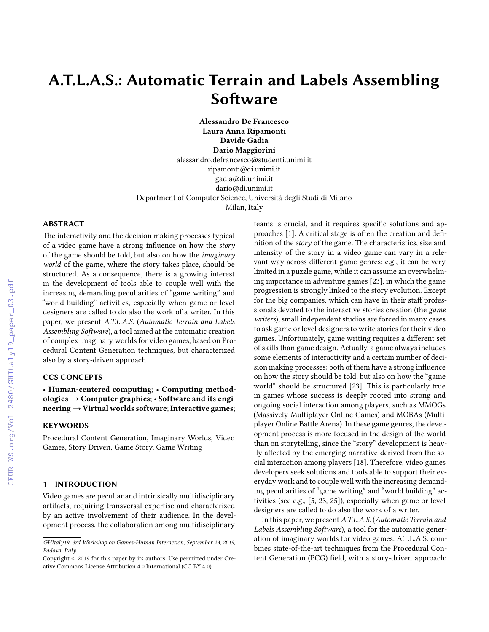# ABSTRACT

# A.T.L.A.S.: Automatic Terrain and Labels Assembling Software

Alessandro De Francesco Laura Anna Ripamonti Davide Gadia Dario Maggiorini alessandro.defrancesco@studenti.unimi.it ripamonti@di.unimi.it gadia@di.unimi.it dario@di.unimi.it Department of Computer Science, Università degli Studi di Milano Milan, Italy

The interactivity and the decision making processes typical of a video game have a strong influence on how the story of the game should be told, but also on how the imaginary world of the game, where the story takes place, should be structured. As a consequence, there is a growing interest in the development of tools able to couple well with the increasing demanding peculiarities of "game writing" and "world building" activities, especially when game or level designers are called to do also the work of a writer. In this paper, we present A.T.L.A.S. (Automatic Terrain and Labels Assembling Software), a tool aimed at the automatic creation of complex imaginary worlds for video games, based on Procedural Content Generation techniques, but characterized also by a story-driven approach.

# CCS CONCEPTS

• Human-centered computing; • Computing methodologies  $\rightarrow$  Computer graphics;  $\cdot$  Software and its engineering → Virtual worlds software; Interactive games;

# **KEYWORDS**

Procedural Content Generation, Imaginary Worlds, Video Games, Story Driven, Game Story, Game Writing

# 1 INTRODUCTION

Video games are peculiar and intrinsically multidisciplinary artifacts, requiring transversal expertise and characterized by an active involvement of their audience. In the development process, the collaboration among multidisciplinary

teams is crucial, and it requires specific solutions and approaches  $[1]$ . A critical stage is often the creation and definition of the story of the game. The characteristics, size and intensity of the story in a video game can vary in a relevant way across different game genres: e.g., it can be very limited in a puzzle game, while it can assume an overwhelming importance in adventure games [\[23\]](#page--1-1), in which the game progression is strongly linked to the story evolution. Except for the big companies, which can have in their staff professionals devoted to the interactive stories creation (the game writers), small independent studios are forced in many cases to ask game or level designers to write stories for their video games. Unfortunately, game writing requires a different set of skills than game design. Actually, a game always includes some elements of interactivity and a certain number of decision making processes: both of them have a strong influence on how the story should be told, but also on how the "game world" should be structured [\[23](#page--1-1)]. This is particularly true in games whose success is deeply rooted into strong and ongoing social interaction among players, such as MMOGs (Massively Multiplayer Online Games) and MOBAs (Multiplayer Online Battle Arena). In these game genres, the development process is more focused in the design of the world than on storytelling, since the "story" development is heavily affected by the emerging narrative derived from the social interaction among players [\[18\]](#page--1-2). Therefore, video games developers seek solutions and tools able to support their everyday work and to couple well with the increasing demanding peculiarities of "game writing" and "world building" activities (see e.g., [\[5](#page--1-3), [23,](#page--1-1) [25\]](#page--1-4)), especially when game or level designers are called to do also the work of a writer.

In this paper, we present A.T.L.A.S. (Automatic Terrain and Labels Assembling Software), a tool for the automatic generation of imaginary worlds for video games. A.T.L.A.S. combines state-of-the-art techniques from the Procedural Content Generation (PCG) field, with a story-driven approach:

GHItaly19: 3rd Workshop on Games-Human Interaction, September 23, 2019, Padova, Italy

Copyright © 2019 for this paper by its authors. Use permitted under Creative Commons License Attribution 4.0 International (CC BY 4.0).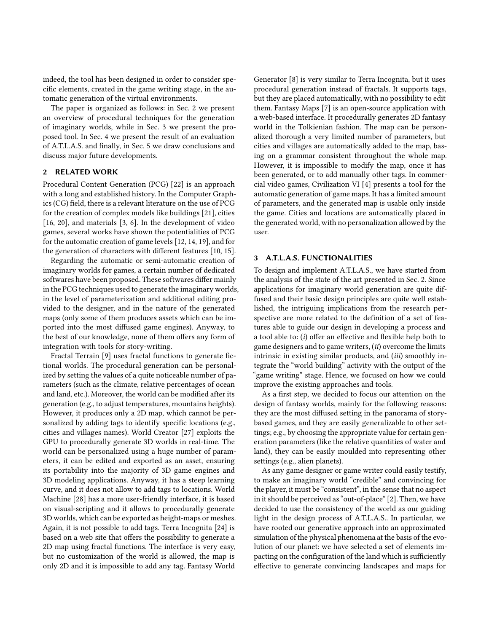indeed, the tool has been designed in order to consider specific elements, created in the game writing stage, in the automatic generation of the virtual environments.

The paper is organized as follows: in Sec. [2](#page-1-0) we present an overview of procedural techniques for the generation of imaginary worlds, while in Sec. [3](#page-1-1) we present the proposed tool. In Sec. [4](#page-4-0) we present the result of an evaluation of A.T.L.A.S. and finally, in Sec. [5](#page-4-1) we draw conclusions and discuss major future developments.

### <span id="page-1-0"></span>2 RELATED WORK

Procedural Content Generation (PCG) [\[22\]](#page-5-0) is an approach with a long and established history. In the Computer Graphics (CG) field, there is a relevant literature on the use of PCG for the creation of complex models like buildings [\[21](#page-5-1)], cities [\[16,](#page-5-2) [20](#page-5-3)], and materials [\[3,](#page-4-2) [6\]](#page-4-3). In the development of video games, several works have shown the potentialities of PCG for the automatic creation of game levels [\[12](#page-5-4), [14,](#page-5-5) [19\]](#page-5-6), and for the generation of characters with different features  $[10, 15]$  $[10, 15]$ .

Regarding the automatic or semi-automatic creation of imaginary worlds for games, a certain number of dedicated softwares have been proposed. These softwares differ mainly in the PCG techniques used to generate the imaginary worlds, in the level of parameterization and additional editing provided to the designer, and in the nature of the generated maps (only some of them produces assets which can be imported into the most diffused game engines). Anyway, to the best of our knowledge, none of them offers any form of integration with tools for story-writing.

Fractal Terrain [\[9\]](#page-4-5) uses fractal functions to generate fictional worlds. The procedural generation can be personalized by setting the values of a quite noticeable number of parameters (such as the climate, relative percentages of ocean and land, etc.). Moreover, the world can be modified after its generation (e.g., to adjust temperatures, mountains heights). However, it produces only a 2D map, which cannot be personalized by adding tags to identify specific locations (e.g., cities and villages names). World Creator [\[27\]](#page-5-8) exploits the GPU to procedurally generate 3D worlds in real-time. The world can be personalized using a huge number of parameters, it can be edited and exported as an asset, ensuring its portability into the majority of 3D game engines and 3D modeling applications. Anyway, it has a steep learning curve, and it does not allow to add tags to locations. World Machine [\[28](#page-5-9)] has a more user-friendly interface, it is based on visual-scripting and it allows to procedurally generate 3D worlds, which can be exported as height-maps or meshes. Again, it is not possible to add tags. Terra Incognita [\[24](#page-5-10)] is based on a web site that offers the possibility to generate a 2D map using fractal functions. The interface is very easy, but no customization of the world is allowed, the map is only 2D and it is impossible to add any tag. Fantasy World

Generator [\[8](#page-4-6)] is very similar to Terra Incognita, but it uses procedural generation instead of fractals. It supports tags, but they are placed automatically, with no possibility to edit them. Fantasy Maps [\[7\]](#page-4-7) is an open-source application with a web-based interface. It procedurally generates 2D fantasy world in the Tolkienian fashion. The map can be personalized thorough a very limited number of parameters, but cities and villages are automatically added to the map, basing on a grammar consistent throughout the whole map. However, it is impossible to modify the map, once it has been generated, or to add manually other tags. In commercial video games, Civilization VI [\[4](#page-4-8)] presents a tool for the automatic generation of game maps. It has a limited amount of parameters, and the generated map is usable only inside the game. Cities and locations are automatically placed in the generated world, with no personalization allowed by the user.

### <span id="page-1-1"></span>3 A.T.L.A.S. FUNCTIONALITIES

To design and implement A.T.L.A.S., we have started from the analysis of the state of the art presented in Sec. [2.](#page-1-0) Since applications for imaginary world generation are quite diffused and their basic design principles are quite well established, the intriguing implications from the research perspective are more related to the definition of a set of features able to guide our design in developing a process and a tool able to:  $(i)$  offer an effective and flexible help both to game designers and to game writers, (ii) overcome the limits intrinsic in existing similar products, and (iii) smoothly integrate the "world building" activity with the output of the "game writing" stage. Hence, we focused on how we could improve the existing approaches and tools.

As a first step, we decided to focus our attention on the design of fantasy worlds, mainly for the following reasons: they are the most diffused setting in the panorama of storybased games, and they are easily generalizable to other settings; e.g., by choosing the appropriate value for certain generation parameters (like the relative quantities of water and land), they can be easily moulded into representing other settings (e.g., alien planets).

As any game designer or game writer could easily testify, to make an imaginary world "credible" and convincing for the player, it must be "consistent", in the sense that no aspect in it should be perceived as "out-of-place" [\[2\]](#page-4-9). Then, we have decided to use the consistency of the world as our guiding light in the design process of A.T.L.A.S.. In particular, we have rooted our generative approach into an approximated simulation of the physical phenomena at the basis of the evolution of our planet: we have selected a set of elements impacting on the configuration of the land which is sufficiently effective to generate convincing landscapes and maps for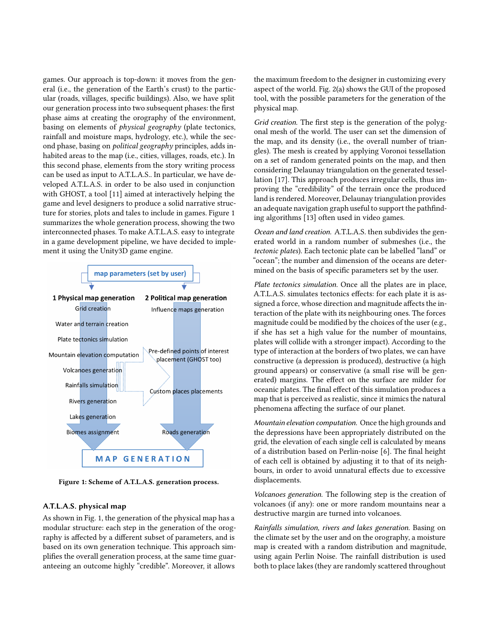games. Our approach is top-down: it moves from the general (i.e., the generation of the Earth's crust) to the particular (roads, villages, specific buildings). Also, we have split our generation process into two subsequent phases: the first phase aims at creating the orography of the environment, basing on elements of physical geography (plate tectonics, rainfall and moisture maps, hydrology, etc.), while the second phase, basing on political geography principles, adds inhabited areas to the map (i.e., cities, villages, roads, etc.). In this second phase, elements from the story writing process can be used as input to A.T.L.A.S.. In particular, we have developed A.T.L.A.S. in order to be also used in conjunction with GHOST, a tool [\[11\]](#page-5-11) aimed at interactively helping the game and level designers to produce a solid narrative structure for stories, plots and tales to include in games. Figure [1](#page-2-0) summarizes the whole generation process, showing the two interconnected phases. To make A.T.L.A.S. easy to integrate in a game development pipeline, we have decided to implement it using the Unity3D game engine.

<span id="page-2-0"></span>

Figure 1: Scheme of A.T.L.A.S. generation process.

### A.T.L.A.S. physical map

As shown in Fig. [1,](#page-2-0) the generation of the physical map has a modular structure: each step in the generation of the orography is affected by a different subset of parameters, and is based on its own generation technique. This approach simplifies the overall generation process, at the same time guaranteeing an outcome highly "credible". Moreover, it allows

the maximum freedom to the designer in customizing every aspect of the world. Fig. [2\(a\)](#page-3-0) shows the GUI of the proposed tool, with the possible parameters for the generation of the physical map.

Grid creation. The first step is the generation of the polygonal mesh of the world. The user can set the dimension of the map, and its density (i.e., the overall number of triangles). The mesh is created by applying Voronoi tessellation on a set of random generated points on the map, and then considering Delaunay triangulation on the generated tessellation [\[17\]](#page-5-12). This approach produces irregular cells, thus improving the "credibility" of the terrain once the produced land is rendered. Moreover, Delaunay triangulation provides an adequate navigation graph useful to support the pathfinding algorithms [\[13\]](#page-5-13) often used in video games.

Ocean and land creation. A.T.L.A.S. then subdivides the generated world in a random number of submeshes (i.e., the tectonic plates). Each tectonic plate can be labelled "land" or "ocean"; the number and dimension of the oceans are determined on the basis of specific parameters set by the user.

Plate tectonics simulation. Once all the plates are in place, A.T.L.A.S. simulates tectonics effects: for each plate it is assigned a force, whose direction and magnitude affects the interaction of the plate with its neighbouring ones. The forces magnitude could be modified by the choices of the user (e.g., if she has set a high value for the number of mountains, plates will collide with a stronger impact). According to the type of interaction at the borders of two plates, we can have constructive (a depression is produced), destructive (a high ground appears) or conservative (a small rise will be generated) margins. The effect on the surface are milder for oceanic plates. The final effect of this simulation produces a map that is perceived as realistic, since it mimics the natural phenomena affecting the surface of our planet.

Mountain elevation computation. Once the high grounds and the depressions have been appropriately distributed on the grid, the elevation of each single cell is calculated by means of a distribution based on Perlin-noise [\[6\]](#page-4-3). The final height of each cell is obtained by adjusting it to that of its neighbours, in order to avoid unnatural effects due to excessive displacements.

Volcanoes generation. The following step is the creation of volcanoes (if any): one or more random mountains near a destructive margin are turned into volcanoes.

Rainfalls simulation, rivers and lakes generation. Basing on the climate set by the user and on the orography, a moisture map is created with a random distribution and magnitude, using again Perlin Noise. The rainfall distribution is used both to place lakes (they are randomly scattered throughout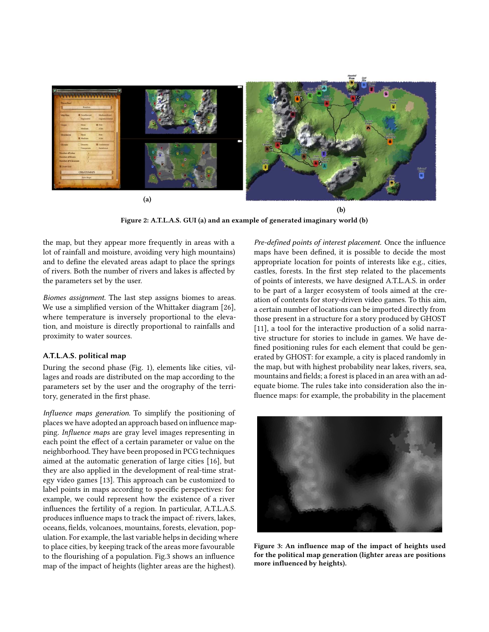<span id="page-3-0"></span>

Figure 2: A.T.L.A.S. GUI [\(a\)](#page-3-0) and an example of generated imaginary world [\(b\)](#page-3-0)

the map, but they appear more frequently in areas with a lot of rainfall and moisture, avoiding very high mountains) and to define the elevated areas adapt to place the springs of rivers. Both the number of rivers and lakes is affected by the parameters set by the user.

Biomes assignment. The last step assigns biomes to areas. We use a simplified version of the Whittaker diagram [\[26\]](#page-5-14), where temperature is inversely proportional to the elevation, and moisture is directly proportional to rainfalls and proximity to water sources.

### A.T.L.A.S. political map

During the second phase (Fig. [1\)](#page-2-0), elements like cities, villages and roads are distributed on the map according to the parameters set by the user and the orography of the territory, generated in the first phase.

Influence maps generation. To simplify the positioning of places we have adopted an approach based on influence mapping. Influence maps are gray level images representing in each point the effect of a certain parameter or value on the neighborhood. They have been proposed in PCG techniques aimed at the automatic generation of large cities [\[16\]](#page-5-2), but they are also applied in the development of real-time strategy video games [\[13\]](#page-5-13). This approach can be customized to label points in maps according to specific perspectives: for example, we could represent how the existence of a river influences the fertility of a region. In particular, A.T.L.A.S. produces influence maps to track the impact of: rivers, lakes, oceans, fields, volcanoes, mountains, forests, elevation, population. For example, the last variable helps in deciding where to place cities, by keeping track of the areas more favourable to the flourishing of a population. Fig[.3](#page-3-1) shows an influence map of the impact of heights (lighter areas are the highest).

Pre-defined points of interest placement. Once the influence maps have been defined, it is possible to decide the most appropriate location for points of interests like e.g., cities, castles, forests. In the first step related to the placements of points of interests, we have designed A.T.L.A.S. in order to be part of a larger ecosystem of tools aimed at the creation of contents for story-driven video games. To this aim, a certain number of locations can be imported directly from those present in a structure for a story produced by GHOST [\[11\]](#page-5-11), a tool for the interactive production of a solid narrative structure for stories to include in games. We have de fined positioning rules for each element that could be generated by GHOST: for example, a city is placed randomly in the map, but with highest probability near lakes, rivers, sea, mountains and fields; a forest is placed in an area with an adequate biome. The rules take into consideration also the in fluence maps: for example, the probability in the placement

<span id="page-3-1"></span>

Figure 3: An influence map of the impact of heights used for the political map generation (lighter areas are positions more influenced by heights).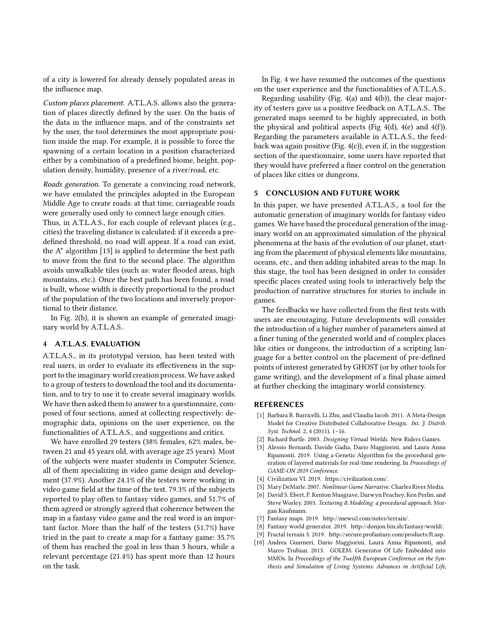of a city is lowered for already densely populated areas in the influence map.

Custom places placement. A.T.L.A.S. allows also the generation of places directly defined by the user. On the basis of the data in the influence maps, and of the constraints set by the user, the tool determines the most appropriate position inside the map. For example, it is possible to force the spawning of a certain location in a position characterized either by a combination of a predefined biome, height, population density, humidity, presence of a river/road, etc.

Roads generation. To generate a convincing road network, we have emulated the principles adopted in the European Middle Age to create roads: at that time, carriageable roads were generally used only to connect large enough cities.

Thus, in A.T.L.A.S., for each couple of relevant places (e.g., cities) the traveling distance is calculated: if it exceeds a predefined threshold, no road will appear. If a road can exist, the A\* algorithm [\[13\]](#page-5-13) is applied to determine the best path to move from the first to the second place. The algorithm avoids unwalkable tiles (such as: water flooded areas, high mountains, etc.). Once the best path has been found, a road is built, whose width is directly proportional to the product of the population of the two locations and inversely proportional to their distance.

In Fig. [2\(b\),](#page-3-0) it is shown an example of generated imaginary world by A.T.L.A.S..

### <span id="page-4-0"></span>4 A.T.L.A.S. EVALUATION

A.T.L.A.S., in its prototypal version, has been tested with real users, in order to evaluate its effectiveness in the support to the imaginary world creation process. We have asked to a group of testers to download the tool and its documentation, and to try to use it to create several imaginary worlds. We have then asked them to answer to a questionnaire, composed of four sections, aimed at collecting respectively: demographic data, opinions on the user experience, on the functionalities of A.T.L.A.S., and suggestions and critics.

We have enrolled 29 testers (38% females, 62% males, between 21 and 45 years old, with average age 25 years). Most of the subjects were master students in Computer Science, all of them specializing in video game design and development (37.9%). Another 24.1% of the testers were working in video game field at the time of the test. 79.3% of the subjects reported to play often to fantasy video games, and 51.7% of them agreed or strongly agreed that coherence between the map in a fantasy video game and the real word is an important factor. More than the half of the testers (51.7%) have tried in the past to create a map for a fantasy game: 35.7% of them has reached the goal in less than 3 hours, while a relevant percentage (21.4%) has spent more than 12 hours on the task.

In Fig. [4](#page-5-15) we have resumed the outcomes of the questions on the user experience and the functionalities of A.T.L.A.S..

Regarding usability (Fig. [4\(a\)](#page-5-15) and [4\(b\)\)](#page-5-15), the clear majority of testers gave us a positive feedback on A.T.L.A.S.. The generated maps seemed to be highly appreciated, in both the physical and political aspects (Fig  $4(d)$ ,  $4(e)$  and  $4(f)$ ). Regarding the parameters available in A.T.L.A.S., the feedback was again positive (Fig. [4\(c\)\)](#page-5-15), even if, in the suggestion section of the questionnaire, some users have reported that they would have preferred a finer control on the generation of places like cities or dungeons.

# <span id="page-4-1"></span>5 CONCLUSION AND FUTURE WORK

In this paper, we have presented A.T.L.A.S., a tool for the automatic generation of imaginary worlds for fantasy video games.We have based the procedural generation of the imaginary world on an approximated simulation of the physical phenomena at the basis of the evolution of our planet, starting from the placement of physical elements like mountains, oceans, etc., and then adding inhabited areas to the map. In this stage, the tool has been designed in order to consider specific places created using tools to interactively help the production of narrative structures for stories to include in games.

The feedbacks we have collected from the first tests with users are encouraging. Future developments will consider the introduction of a higher number of parameters aimed at a finer tuning of the generated world and of complex places like cities or dungeons, the introduction of a scripting language for a better control on the placement of pre-defined points of interest generated by GHOST (or by other tools for game writing), and the development of a final phase aimed at further checking the imaginary world consistency.

### REFERENCES

- [1] Barbara R. Barricelli, Li Zhu, and Claudia Iacob. 2011. A Meta-Design Model for Creative Distributed Collaborative Design. Int. J. Distrib. Syst. Technol. 2, 4 (2011), 1–16.
- <span id="page-4-9"></span>[2] Richard Bartle. 2003. Designing Virtual Worlds. New Riders Games.
- <span id="page-4-2"></span>[3] Alessio Bernardi, Davide Gadia, Dario Maggiorini, and Laura Anna Ripamonti. 2019. Using a Genetic Algorithm for the procedural generation of layered materials for real-time rendering. In Proceedings of GAME-ON 2019 Conference.
- <span id="page-4-8"></span>[4] Civilization VI. 2019. [https://civilization.com/.](https://civilization.com/)
- [5] Mary DeMarle. 2007. Nonlinear Game Narrative. Charles River Media.
- <span id="page-4-3"></span>[6] David S. Ebert, F. Kenton Musgrave, Darwyn Peachey, Ken Perlin, and Steve Worley. 2003. Texturing & Modeling: a procedural approach. Morgan Kaufmann.
- <span id="page-4-7"></span>[7] Fantasy maps. 2019. [http://mewo2.com/notes/terrain/.](http://mewo2.com/notes/terrain/)
- <span id="page-4-6"></span>[8] Fantasy world generator. 2019. [http://donjon.bin.sh/fantasy/world/.](http://donjon.bin.sh/fantasy/world/)
- <span id="page-4-5"></span>[9] Fractal terrain 3. 2019. [http://secure.profantasy.com/products/ft.asp.](http://secure.profantasy.com/products/ft.asp)
- <span id="page-4-4"></span>[10] Andrea Guarneri, Dario Maggiorini, Laura Anna Ripamonti, and Marco Trubian. 2013. GOLEM: Generator Of Life Embedded into MMOs. In Proceedings of the Twelfth European Conference on the Synthesis and Simulation of Living Systems: Advances in Artificial Life,